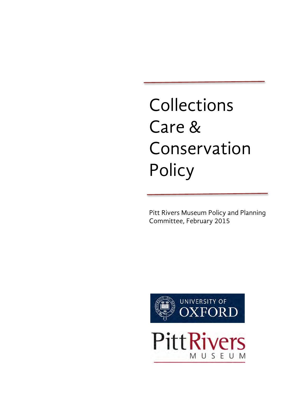# Collections Care & Conservation **Policy**

Pitt Rivers Museum Policy and Planning Committee, February 2015

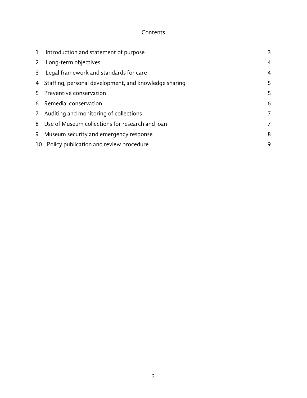#### Contents

| $\mathbf{1}$ | Introduction and statement of purpose                   | 3              |
|--------------|---------------------------------------------------------|----------------|
|              | 2 Long-term objectives                                  | $\overline{4}$ |
| 3            | Legal framework and standards for care                  | $\overline{4}$ |
|              | 4 Staffing, personal development, and knowledge sharing | 5              |
|              | 5 Preventive conservation                               | 5              |
|              | 6 Remedial conservation                                 | 6              |
|              | 7 Auditing and monitoring of collections                | 7              |
|              | 8 Use of Museum collections for research and loan       | 7              |
|              | 9 Museum security and emergency response                | 8              |
|              | 10 Policy publication and review procedure              | 9              |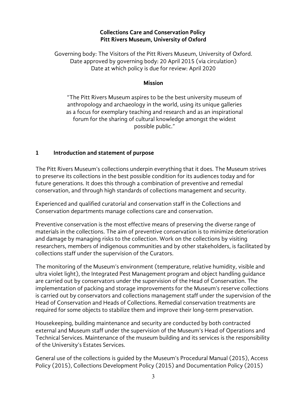#### **Collections Care and Conservation Policy Pitt Rivers Museum, University of Oxford**

Governing body: The Visitors of the Pitt Rivers Museum, University of Oxford. Date approved by governing body: 20 April 2015 (via circulation) Date at which policy is due for review: April 2020

#### **Mission**

"The Pitt Rivers Museum aspires to be the best university museum of anthropology and archaeology in the world, using its unique galleries as a focus for exemplary teaching and research and as an inspirational forum for the sharing of cultural knowledge amongst the widest possible public."

#### **1 Introduction and statement of purpose**

The Pitt Rivers Museum's collections underpin everything that it does. The Museum strives to preserve its collections in the best possible condition for its audiences today and for future generations. It does this through a combination of preventive and remedial conservation, and through high standards of collections management and security.

Experienced and qualified curatorial and conservation staff in the Collections and Conservation departments manage collections care and conservation.

Preventive conservation is the most effective means of preserving the diverse range of materials in the collections. The aim of preventive conservation is to minimize deterioration and damage by managing risks to the collection. Work on the collections by visiting researchers, members of indigenous communities and by other stakeholders, is facilitated by collections staff under the supervision of the Curators.

The monitoring of the Museum's environment (temperature, relative humidity, visible and ultra violet light), the Integrated Pest Management program and object handling guidance are carried out by conservators under the supervision of the Head of Conservation. The implementation of packing and storage improvements for the Museum's reserve collections is carried out by conservators and collections management staff under the supervision of the Head of Conservation and Heads of Collections. Remedial conservation treatments are required for some objects to stabilize them and improve their long-term preservation.

Housekeeping, building maintenance and security are conducted by both contracted external and Museum staff under the supervision of the Museum's Head of Operations and Technical Services. Maintenance of the museum building and its services is the responsibility of the University's Estates Services.

General use of the collections is guided by the Museum's Procedural Manual (2015), Access Policy (2015), Collections Development Policy (2015) and Documentation Policy (2015)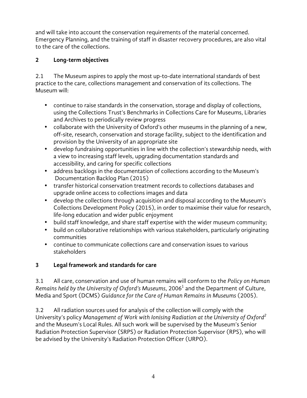and will take into account the conservation requirements of the material concerned. Emergency Planning, and the training of staff in disaster recovery procedures, are also vital to the care of the collections.

### **2 Long-term objectives**

2.1 The Museum aspires to apply the most up-to-date international standards of best practice to the care, collections management and conservation of its collections. The Museum will:

- continue to raise standards in the conservation, storage and display of collections, using the Collections Trust's Benchmarks in Collections Care for Museums, Libraries and Archives to periodically review progress
- collaborate with the University of Oxford's other museums in the planning of a new, off-site, research, conservation and storage facility, subject to the identification and provision by the University of an appropriate site
- develop fundraising opportunities in line with the collection's stewardship needs, with a view to increasing staff levels, upgrading documentation standards and accessibility, and caring for specific collections
- address backlogs in the documentation of collections according to the Museum's Documentation Backlog Plan (2015)
- transfer historical conservation treatment records to collections databases and upgrade online access to collections images and data
- develop the collections through acquisition and disposal according to the Museum's Collections Development Policy (2015), in order to maximise their value for research, life-long education and wider public enjoyment
- build staff knowledge, and share staff expertise with the wider museum community;
- build on collaborative relationships with various stakeholders, particularly originating communities
- continue to communicate collections care and conservation issues to various stakeholders

# **3 Legal framework and standards for care**

3.1 All care, conservation and use of human remains will conform to the *Policy on Human Remains held by the University of Oxford's Museums*, 2006<sup>1</sup> and the Department of Culture, Media and Sport (DCMS) *Guidance for the Care of Human Remains in Museums* (2005).

3.2 All radiation sources used for analysis of the collection will comply with the University's policy *Management of Work with Ionising Radiation at the University of Oxford2* and the Museum's Local Rules. All such work will be supervised by the Museum's Senior Radiation Protection Supervisor (SRPS) or Radiation Protection Supervisor (RPS), who will be advised by the University's Radiation Protection Officer (URPO).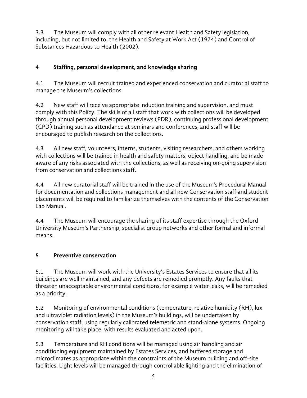3.3 The Museum will comply with all other relevant Health and Safety legislation, including, but not limited to, the Health and Safety at Work Act (1974) and Control of Substances Hazardous to Health (2002).

## **4 Staffing, personal development, and knowledge sharing**

4.1 The Museum will recruit trained and experienced conservation and curatorial staff to manage the Museum's collections.

4.2 New staff will receive appropriate induction training and supervision, and must comply with this Policy. The skills of all staff that work with collections will be developed through annual personal development reviews (PDR), continuing professional development (CPD) training such as attendance at seminars and conferences, and staff will be encouraged to publish research on the collections.

4.3 All new staff, volunteers, interns, students, visiting researchers, and others working with collections will be trained in health and safety matters, object handling, and be made aware of any risks associated with the collections, as well as receiving on-going supervision from conservation and collections staff.

4.4 All new curatorial staff will be trained in the use of the Museum's Procedural Manual for documentation and collections management and all new Conservation staff and student placements will be required to familiarize themselves with the contents of the Conservation Lab Manual.

4.4 The Museum will encourage the sharing of its staff expertise through the Oxford University Museum's Partnership, specialist group networks and other formal and informal means.

# **5 Preventive conservation**

5.1 The Museum will work with the University's Estates Services to ensure that all its buildings are well maintained, and any defects are remedied promptly. Any faults that threaten unacceptable environmental conditions, for example water leaks, will be remedied as a priority.

5.2 Monitoring of environmental conditions (temperature, relative humidity (RH), lux and ultraviolet radiation levels) in the Museum's buildings, will be undertaken by conservation staff, using regularly calibrated telemetric and stand-alone systems. Ongoing monitoring will take place, with results evaluated and acted upon.

5.3 Temperature and RH conditions will be managed using air handling and air conditioning equipment maintained by Estates Services, and buffered storage and microclimates as appropriate within the constraints of the Museum building and off-site facilities. Light levels will be managed through controllable lighting and the elimination of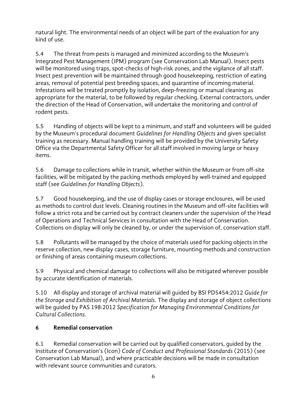natural light. The environmental needs of an object will be part of the evaluation for any kind of use.

5.4 The threat from pests is managed and minimized according to the Museum's Integrated Pest Management (IPM) program (see Conservation Lab Manual). Insect pests will be monitored using traps, spot-checks of high-risk zones, and the vigilance of all staff. Insect pest prevention will be maintained through good housekeeping, restriction of eating areas, removal of potential pest breeding spaces, and quarantine of incoming material. Infestations will be treated promptly by isolation, deep-freezing or manual cleaning as appropriate for the material, to be followed by regular checking. External contractors, under the direction of the Head of Conservation, will undertake the monitoring and control of rodent pests.

5.5 Handling of objects will be kept to a minimum, and staff and volunteers will be guided by the Museum's procedural document *Guidelines for Handling Objects* and given specialist training as necessary. Manual handling training will be provided by the University Safety Office via the Departmental Safety Officer for all staff involved in moving large or heavy items.

5.6 Damage to collections while in transit, whether within the Museum or from off-site facilities, will be mitigated by the packing methods employed by well-trained and equipped staff (see *Guidelines for Handling Objects*).

5.7 Good housekeeping, and the use of display cases or storage enclosures, will be used as methods to control dust levels. Cleaning routines in the Museum and off-site facilities will follow a strict rota and be carried out by contract cleaners under the supervision of the Head of Operations and Technical Services in consultation with the Head of Conservation. Collections on display will only be cleaned by, or under the supervision of, conservation staff.

5.8 Pollutants will be managed by the choice of materials used for packing objects in the reserve collection, new display cases, storage furniture, mounting methods and construction or finishing of areas containing museum collections.

5.9 Physical and chemical damage to collections will also be mitigated wherever possible by accurate identification of materials.

5.10 All display and storage of archival material will guided by BSI PD5454:2012 *Guide for the Storage and Exhibition of Archival Materials*. The display and storage of object collections will be guided by PAS 198:2012 *Specification for Managing Environmental Conditions for Cultural Collections*.

#### **6 Remedial conservation**

6.1 Remedial conservation will be carried out by qualified conservators, guided by the Institute of Conservation's (Icon) *Code of Conduct and Professional Standards* (2015) (see Conservation Lab Manual), and where practicable decisions will be made in consultation with relevant source communities and curators.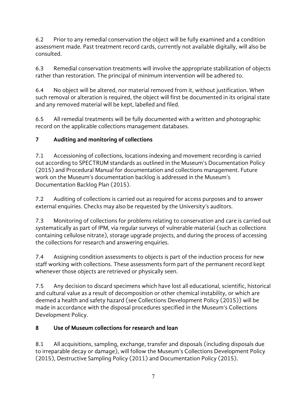6.2 Prior to any remedial conservation the object will be fully examined and a condition assessment made. Past treatment record cards, currently not available digitally, will also be consulted.

6.3 Remedial conservation treatments will involve the appropriate stabilization of objects rather than restoration. The principal of minimum intervention will be adhered to.

6.4 No object will be altered, nor material removed from it, without justification. When such removal or alteration is required, the object will first be documented in its original state and any removed material will be kept, labelled and filed.

6.5 All remedial treatments will be fully documented with a written and photographic record on the applicable collections management databases.

## **7 Auditing and monitoring of collections**

7.1 Accessioning of collections, locations indexing and movement recording is carried out according to SPECTRUM standards as outlined in the Museum's Documentation Policy (2015) and Procedural Manual for documentation and collections management. Future work on the Museum's documentation backlog is addressed in the Museum's Documentation Backlog Plan (2015).

7.2 Auditing of collections is carried out as required for access purposes and to answer external enquiries. Checks may also be requested by the University's auditors.

7.3 Monitoring of collections for problems relating to conservation and care is carried out systematically as part of IPM, via regular surveys of vulnerable material (such as collections containing cellulose nitrate), storage upgrade projects, and during the process of accessing the collections for research and answering enquiries.

7.4 Assigning condition assessments to objects is part of the induction process for new staff working with collections. These assessments form part of the permanent record kept whenever those objects are retrieved or physically seen.

7.5 Any decision to discard specimens which have lost all educational, scientific, historical and cultural value as a result of decomposition or other chemical instability, or which are deemed a health and safety hazard (see Collections Development Policy (2015)) will be made in accordance with the disposal procedures specified in the Museum's Collections Development Policy.

#### **8 Use of Museum collections for research and loan**

8.1 All acquisitions, sampling, exchange, transfer and disposals (including disposals due to irreparable decay or damage), will follow the Museum's Collections Development Policy (2015), Destructive Sampling Policy (2011) and Documentation Policy (2015).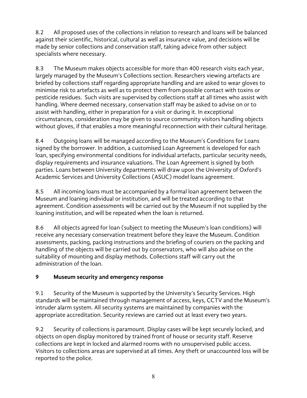8.2 All proposed uses of the collections in relation to research and loans will be balanced against their scientific, historical, cultural as well as insurance value, and decisions will be made by senior collections and conservation staff, taking advice from other subject specialists where necessary.

8.3 The Museum makes objects accessible for more than 400 research visits each year, largely managed by the Museum's Collections section. Researchers viewing artefacts are briefed by collections staff regarding appropriate handling and are asked to wear gloves to minimise risk to artefacts as well as to protect them from possible contact with toxins or pesticide residues. Such visits are supervised by collections staff at all times who assist with handling. Where deemed necessary, conservation staff may be asked to advise on or to assist with handling, either in preparation for a visit or during it. In exceptional circumstances, consideration may be given to source community visitors handling objects without gloves, if that enables a more meaningful reconnection with their cultural heritage.

8.4 Outgoing loans will be managed according to the Museum's Conditions for Loans signed by the borrower. In addition, a customised Loan Agreement is developed for each loan, specifying environmental conditions for individual artefacts, particular security needs, display requirements and insurance valuations. The Loan Agreement is signed by both parties. Loans between University departments will draw upon the University of Oxford's Academic Services and University Collections (ASUC) model loans agreement.

8.5 All incoming loans must be accompanied by a formal loan agreement between the Museum and loaning individual or institution, and will be treated according to that agreement. Condition assessments will be carried out by the Museum if not supplied by the loaning institution, and will be repeated when the loan is returned.

8.6 All objects agreed for loan (subject to meeting the Museum's loan conditions) will receive any necessary conservation treatment before they leave the Museum. Condition assessments, packing, packing instructions and the briefing of couriers on the packing and handling of the objects will be carried out by conservators, who will also advise on the suitability of mounting and display methods. Collections staff will carry out the administration of the loan.

#### **9 Museum security and emergency response**

9.1 Security of the Museum is supported by the University's Security Services. High standards will be maintained through management of access, keys, CCTV and the Museum's intruder alarm system. All security systems are maintained by companies with the appropriate accreditation. Security reviews are carried out at least every two years.

9.2 Security of collections is paramount. Display cases will be kept securely locked, and objects on open display monitored by trained front of house or security staff. Reserve collections are kept in locked and alarmed rooms with no unsupervised public access. Visitors to collections areas are supervised at all times. Any theft or unaccounted loss will be reported to the police.